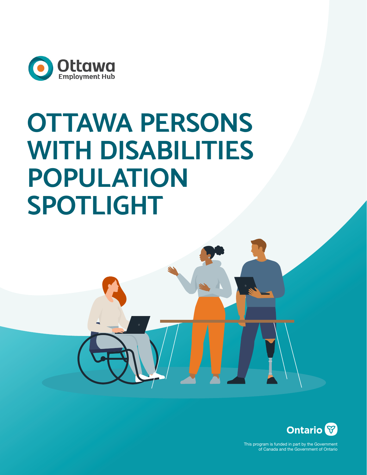

# **OTTAWA PERSONS WITH DISABILITIES POPULATION SPOTLIGHT**



This program is funded in part by the Government of Canada and the Government of Ontario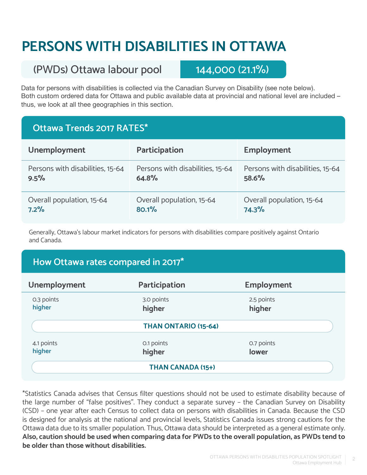# **PERSONS WITH DISABILITIES IN OTTAWA**

## (PWDs) Ottawa labour pool 144,000 (21.1%)

Data for persons with disabilities is collected via the Canadian Survey on Disability (see note below). Both custom ordered data for Ottawa and public available data at provincial and national level are included – thus, we look at all thee geographies in this section.

#### **Ottawa Trends 2017 RATES\***

| <b>Unemployment</b>              | <b>Participation</b>             | <b>Employment</b>                |
|----------------------------------|----------------------------------|----------------------------------|
| Persons with disabilities, 15-64 | Persons with disabilities, 15-64 | Persons with disabilities, 15-64 |
| 9.5%                             | 64.8%                            | 58.6%                            |
| Overall population, 15-64        | Overall population, 15-64        | Overall population, 15-64        |
| 7.2%                             | 80.1%                            | 74.3%                            |

Generally, Ottawa's labour market indicators for persons with disabilities compare positively against Ontario and Canada.

#### **How Ottawa rates compared in 2017\***

| <b>Unemployment</b>      | <b>Participation</b> | <b>Employment</b>    |  |  |
|--------------------------|----------------------|----------------------|--|--|
| 0.3 points<br>higher     | 3.0 points<br>higher | 2.5 points<br>higher |  |  |
|                          | THAN ONTARIO (15-64) |                      |  |  |
| 4.1 points<br>higher     | 0.1 points<br>higher | 0.7 points<br>lower  |  |  |
| <b>THAN CANADA (15+)</b> |                      |                      |  |  |

\*Statistics Canada advises that Census filter questions should not be used to estimate disability because of the large number of "false positives". They conduct a separate survey – the Canadian Survey on Disability (CSD) – one year after each Census to collect data on persons with disabilities in Canada. Because the CSD is designed for analysis at the national and provincial levels, Statistics Canada issues strong cautions for the Ottawa data due to its smaller population. Thus, Ottawa data should be interpreted as a general estimate only. **Also, caution should be used when comparing data for PWDs to the overall population, as PWDs tend to be older than those without disabilities.**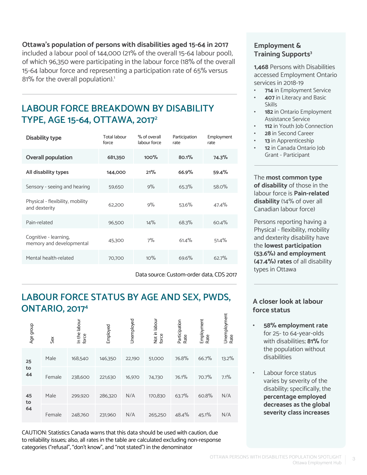**Ottawa's population of persons with disabilities aged 15-64 in 2017**  included a labour pool of 144,000 (21% of the overall 15-64 labour pool),

of which 96,350 were participating in the labour force (18% of the overall 15-64 labour force and representing a participation rate of 65% versus 81% for the overall population).<sup>1</sup>

#### **LABOUR FORCE BREAKDOWN BY DISABILITY TYPE, AGE 15-64, OTTAWA, 20172**

| <b>Disability type</b>                            | <b>Total labour</b><br>force | % of overall<br>labour force | Participation<br>rate | Employment<br>rate |
|---------------------------------------------------|------------------------------|------------------------------|-----------------------|--------------------|
| <b>Overall population</b>                         | 681,350                      | 100%                         | 80.1%                 | 74.3%              |
| All disability types                              | 144,000                      | 21%                          | 66.9%                 | 59.4%              |
| Sensory - seeing and hearing                      | 59,650                       | 9%                           | 65.3%                 | $58.0\%$           |
| Physical - flexibility, mobility<br>and dexterity | 62,200                       | 9%                           | 53.6%                 | 47.4%              |
| Pain-related                                      | 96,500                       | 14%                          | 68.3%                 | 60.4%              |
| Cognitive - learning,<br>memory and developmental | 45,300                       | 7%                           | 61.4%                 | 51.4%              |
| Mental health-related                             | 70,700                       | 10%                          | 69.6%                 | 62.7%              |

Data source: Custom-order data, CDS 2017

#### **LABOUR FORCE STATUS BY AGE AND SEX, PWDS, ONTARIO, 20174**

| Age group | Sex    | In the labour<br>force | Employed | Unemployed | Not in labour<br>force | Participation<br>Rate | Employment<br>Rate | Unemployment<br>Rate |
|-----------|--------|------------------------|----------|------------|------------------------|-----------------------|--------------------|----------------------|
| 25        | Male   | 168,540                | 146,350  | 22,190     | 51,000                 | 76.8%                 | 66.7%              | 13.2%                |
| to<br>44  | Female | 238,600                | 221,630  | 16,970     | 74,730                 | 76.1%                 | 70.7%              | 7.1%                 |
| 45<br>to  | Male   | 299,920                | 286,320  | N/A        | 170,830                | 63.7%                 | 60.8%              | N/A                  |
| 64        | Female | 248,760                | 231,960  | N/A        | 265,250                | 48.4%                 | 45.1%              | N/A                  |

CAUTION: Statistics Canada warns that this data should be used with caution, due to reliability issues; also, all rates in the table are calculated excluding non-response categories ("refusal", "don't know", and "not stated") in the denominator

#### **Employment & Training Supports<sup>3</sup>**

**1,468** Persons with Disabilities accessed Employment Ontario services in 2018-19

- **• 714** in Employment Service
- **• 407** in Literacy and Basic Skills
- **• 182** in Ontario Employment Assistance Service
- **• 112** in Youth Job Connection
- **• 28** in Second Career
- **• 13** in Apprenticeship
- **• 12** in Canada Ontario Job Grant - Participant

The **most common type of disability** of those in the labour force is **Pain-related disability** (14% of over all Canadian labour force)

Persons reporting having a Physical - flexibility, mobility and dexterity disability have the **lowest participation (53.6%) and employment (47.4%) rates** of all disability types in Ottawa

#### **A closer look at labour force status**

- **• 58% employment rate** for 25- to 64-year-olds with disabilities; **81%** for the population without disabilities
- Labour force status varies by severity of the disability; specifically, the **percentage employed decreases as the global severity class increases**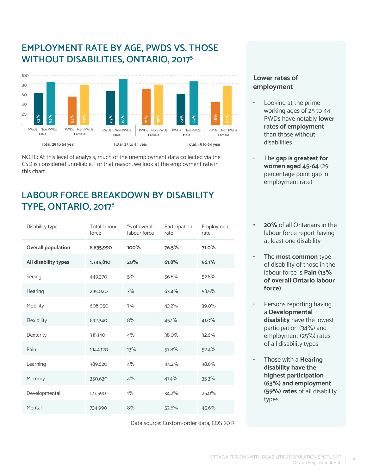#### **EMPLOYMENT RATE BY AGE, PWDS VS. THOSE WITHOUT DISABILITIES, ONTARIO, 20175**



NOTE: At this level of analysis, much of the unemployment data collected via the CSD is considered unreliable. For that reason, we look at the employment rate in this chart.

#### **LABOUR FORCE BREAKDOWN BY DISABILITY TYPE, ONTARIO, 20176**

| Disability type           | <b>Total labour</b><br>force | % of overall<br>labour force | Participation<br>rate | Employment<br>rate |
|---------------------------|------------------------------|------------------------------|-----------------------|--------------------|
| <b>Overall population</b> | 8,835,990                    | 100%                         | 76.5%                 | 71.0%              |
| All disability types      | 1,745,810                    | 20%                          | 61.8%                 | 56.1%              |
| Seeing                    | 449,370                      | 5%                           | 56.6%                 | 52.8%              |
| Hearing                   | 295,020                      | 3%                           | 63.4%                 | 58.5%              |
| Mobility                  | 608,050                      | 7%                           | 43.2%                 | 39.0%              |
| Flexibility               | 692,340                      | 8%                           | 45.1%                 | $41.0\%$           |
| Dexterity                 | 315,140                      | $4\%$                        | 38.0%                 | 32.6%              |
| Pain                      | 1,144,120                    | 13%                          | 57.8%                 | 52.4%              |
| Learning                  | 389,620                      | 4%                           | 44.2%                 | 38.6%              |
| Memory                    | 350,630                      | 4%                           | 41.4%                 | 35.3%              |
| Developmental             | 127,590                      | $1\%$                        | 34.2%                 | 25.0%              |
| Mental                    | 734,990                      | 8%                           | 52.6%                 | 45.6%              |

Data source: Custom-order data, CDS 2017

#### **Lower rates of employment**

- Looking at the prime working ages of 25 to 44, PWDs have notably **lower rates of employment** than those without disabilities
- The **gap is greatest for women aged 45-64** (29 percentage point gap in employment rate)
- **• 20%** of all Ontarians in the labour force report having at least one disability
- The **most common** type of disability of those in the labour force is **Pain (13% of overall Ontario labour force)**
- Persons reporting having a **Developmental disability** have the lowest participation (34%) and employment (25%) rates of all disability types
- Those with a **Hearing disability have the highest participation (63%) and employment (59%) rates** of all disability types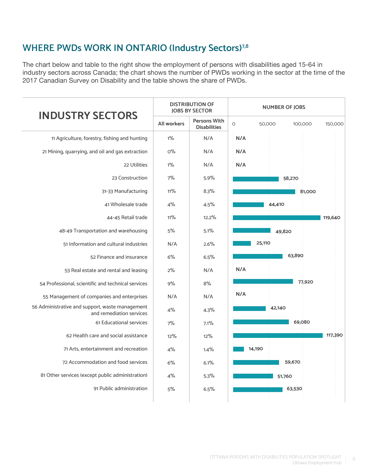## **WHERE PWDs WORK IN ONTARIO (Industry Sectors)7,8**

The chart below and table to the right show the employment of persons with disabilities aged 15-64 in industry sectors across Canada; the chart shows the number of PWDs working in the sector at the time of the 2017 Canadian Survey on Disability and the table shows the share of PWDs.

| <b>INDUSTRY SECTORS</b>                                                     | <b>DISTRIBUTION OF</b><br><b>JOBS BY SECTOR</b> |                                            | <b>NUMBER OF JOBS</b>        |         |  |
|-----------------------------------------------------------------------------|-------------------------------------------------|--------------------------------------------|------------------------------|---------|--|
|                                                                             | <b>All workers</b>                              | <b>Persons With</b><br><b>Disabilities</b> | $\circ$<br>50,000<br>100,000 | 150,000 |  |
| 11 Agriculture, forestry, fishing and hunting                               | $1\%$                                           | N/A                                        | N/A                          |         |  |
| 21 Mining, quarrying, and oil and gas extraction                            | $O\%$                                           | N/A                                        | N/A                          |         |  |
| 22 Utilities                                                                | $1\%$                                           | N/A                                        | N/A                          |         |  |
| 23 Construction                                                             | 7%                                              | 5.9%                                       | 58,270                       |         |  |
| 31-33 Manufacturing                                                         | 11%                                             | 8.3%                                       | 81,000                       |         |  |
| 41 Wholesale trade                                                          | 4%                                              | 4.5%                                       | 44,410                       |         |  |
| 44-45 Retail trade                                                          | 11%                                             | 12.2%                                      |                              | 119,640 |  |
| 48-49 Transportation and warehousing                                        | 5%                                              | 5.1%                                       | 49,820                       |         |  |
| 51 Information and cultural industries                                      | N/A                                             | 2.6%                                       | 25,110                       |         |  |
| 52 Finance and insurance                                                    | 6%                                              | 6.5%                                       | 63,890                       |         |  |
| 53 Real estate and rental and leasing                                       | 2%                                              | N/A                                        | N/A                          |         |  |
| 54 Professional, scientific and technical services                          | 9%                                              | 8%                                         | 77,920                       |         |  |
| 55 Management of companies and enterprises                                  | N/A                                             | N/A                                        | N/A                          |         |  |
| 56 Administrative and support, waste management<br>and remediation services | 4%                                              | 4.3%                                       | 42,140                       |         |  |
| 61 Educational services                                                     | 7%                                              | 7.1%                                       | 69,080                       |         |  |
| 62 Health care and social assistance                                        | 12%                                             | 12%                                        |                              | 117,390 |  |
| 71 Arts, entertainment and recreation                                       | 4%                                              | 1.4%                                       | 14,190                       |         |  |
| 72 Accommodation and food services                                          | 6%                                              | 6.1%                                       | 59,670                       |         |  |
| 81 Other services (except public administration)                            | 4%                                              | 5.3%                                       | 51,760                       |         |  |
| 91 Public administration                                                    | 5%                                              | 6.5%                                       | 63,530                       |         |  |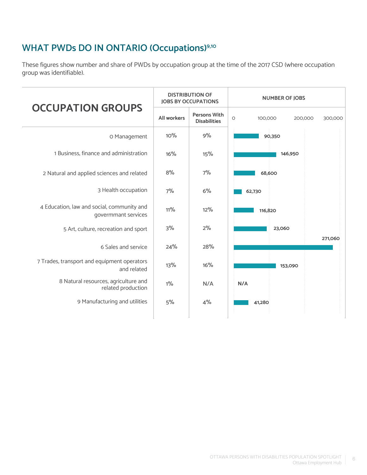#### **WHAT PWDs DO IN ONTARIO (Occupations)9,10**

These figures show number and share of PWDs by occupation group at the time of the 2017 CSD (where occupation group was identifiable).

|                                                                   | <b>DISTRIBUTION OF</b><br><b>IOBS BY OCCUPATIONS</b> |                                            | <b>NUMBER OF JOBS</b>                    |  |
|-------------------------------------------------------------------|------------------------------------------------------|--------------------------------------------|------------------------------------------|--|
| <b>OCCUPATION GROUPS</b>                                          | All workers                                          | <b>Persons With</b><br><b>Disabilities</b> | $\circ$<br>100,000<br>200,000<br>300,000 |  |
| O Management                                                      | 10%                                                  | 9%                                         | 90,350                                   |  |
| 1 Business, finance and administration                            | 16%                                                  | 15%                                        | 146,950                                  |  |
| 2 Natural and applied sciences and related                        | 8%                                                   | 7%                                         | 68,600                                   |  |
| 3 Health occupation                                               | 7%                                                   | 6%                                         | 62,730                                   |  |
| 4 Education, law and social, community and<br>govermmant services | 11%                                                  | 12%                                        | 116,820                                  |  |
| 5 Art, culture, recreation and sport                              | 3%                                                   | 2%                                         | 23,060                                   |  |
| 6 Sales and service                                               | 24%                                                  | 28%                                        | 271,060                                  |  |
| 7 Trades, transport and equipment operators<br>and related        | 13%                                                  | 16%                                        | 153,090                                  |  |
| 8 Natural resources, agriculture and<br>related production        | $1\%$                                                | N/A                                        | N/A                                      |  |
| 9 Manufacturing and utilities                                     | 5%                                                   | 4%                                         | 41,280                                   |  |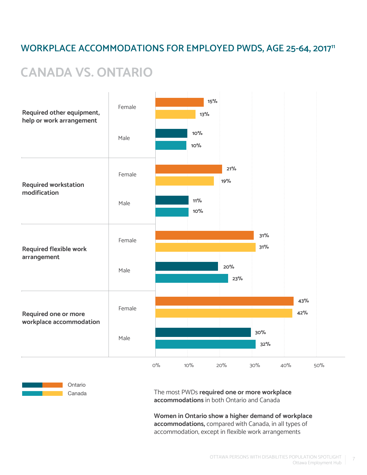#### WORKPLACE ACCOMMODATIONS FOR EMPLOYED PWDS, AGE 25-64, 2017<sup>11</sup>

## **CANADA VS. ONTARIO**





The most PWDs **required one or more workplace accommodations** in both Ontario and Canada

**Women in Ontario show a higher demand of workplace accommodations,** compared with Canada, in all types of accommodation, except in flexible work arrangements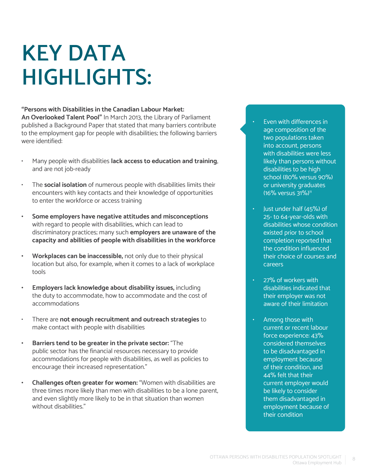# **KEY DATA HIGHLIGHTS:**

#### **"Persons with Disabilities in the Canadian Labour Market:**

**An Overlooked Talent Pool"** In March 2013, the Library of Parliament published a Background Paper that stated that many barriers contribute to the employment gap for people with disabilities; the following barriers were identified:

- Many people with disabilities **lack access to education and training**, and are not job-ready
- The **social isolation** of numerous people with disabilities limits their encounters with key contacts and their knowledge of opportunities to enter the workforce or access training
- **• Some employers have negative attitudes and misconceptions** with regard to people with disabilities, which can lead to discriminatory practices; many such **employers are unaware of the capacity and abilities of people with disabilities in the workforce**
- **• Workplaces can be inaccessible,** not only due to their physical location but also, for example, when it comes to a lack of workplace tools
- **• Employers lack knowledge about disability issues,** including the duty to accommodate, how to accommodate and the cost of accommodations
- There are **not enough recruitment and outreach strategies** to make contact with people with disabilities
- **• Barriers tend to be greater in the private sector:** "The public sector has the financial resources necessary to provide accommodations for people with disabilities, as well as policies to encourage their increased representation."
- **• Challenges often greater for women:** "Women with disabilities are three times more likely than men with disabilities to be a lone parent, and even slightly more likely to be in that situation than women without disabilities."
- Even with differences in age composition of the two populations taken into account, persons with disabilities were less likely than persons without disabilities to be high school (80% versus 90%) or university graduates (16% versus 31%)<sup>11</sup>
- Just under half (45%) of 25- to 64-year-olds with disabilities whose condition existed prior to school completion reported that the condition influenced their choice of courses and careers
- 27% of workers with disabilities indicated that their employer was not aware of their limitation
- Among those with current or recent labour force experience: 43% considered themselves to be disadvantaged in employment because of their condition, and 44% felt that their current employer would be likely to consider them disadvantaged in employment because of their condition